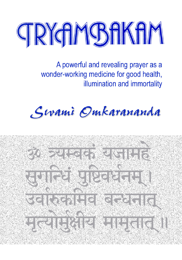

A powerful and revealing prayer as a wonder-working medicine for good health, illumination and immortality

# Sivami Omkarananda

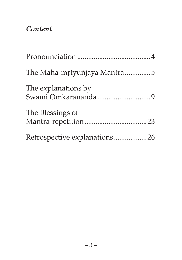#### *Content*

| The Mahā-mrtyuñjaya Mantra5  |
|------------------------------|
| The explanations by          |
| The Blessings of             |
| Retrospective explanations26 |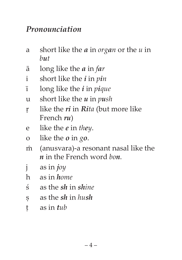#### *Pronounciation*

- a short like the *a* in *organ* or the *u* in *but*
- ! long like the *a* in *far*
- i short like the *i* in *pin*
- # long like the *i* in *pique*
- u short like the *u* in *push*
- & like the *ri* in *Rita* (but more like French *ru*)
- e like the *e* in *they*.
- o like the *o* in *go*.
- < (anusvara)-a resonant nasal like the *n* in the French word *bon*.
- j as in *joy*
- h as in *home*
- z as the *sh* in *shine*
- ; as the *sh* in *hush*
- q as in *tub*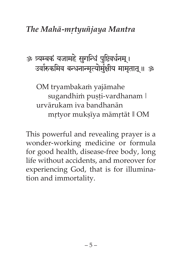#### *The Mah!-m&tyu]jaya Mantra*

## ॐ त्र्यम्बकं यजामहे सुगन्धिं पुष्टिवर्धनम् । उर्वारुकमिव बन्धनान्मत्योर्मक्षीय मामतात ॥ ॐ

OM tryambakam yajāmahe sugandhim pușți-vardhanam | urvārukam iva bandhanān mrtyor muksīya māmrtāt || OM

This powerful and revealing prayer is a wonder-working medicine or formula for good health, disease-free body, long life without accidents, and moreover for experiencing God, that is for illumination and immortality.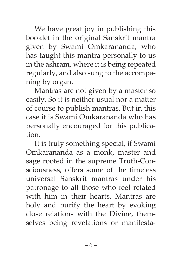We have great joy in publishing this booklet in the original Sanskrit mantra given by Swami Omkarananda, who has taught this mantra personally to us in the ashram, where it is being repeated regularly, and also sung to the accompaning by organ.

Mantras are not given by a master so easily. So it is neither usual nor a matter of course to publish mantras. But in this case it is Swami Omkarananda who has personally encouraged for this publication.

It is truly something special, if Swami Omkarananda as a monk, master and sage rooted in the supreme Truth-Consciousness, offers some of the timeless universal Sanskrit mantras under his patronage to all those who feel related with him in their hearts. Mantras are holy and purify the heart by evoking close relations with the Divine, themselves being revelations or manifesta-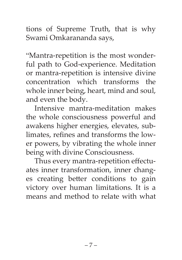tions of Supreme Truth, that is why Swami Omkarananda says,

"Mantra-repetition is the most wonderful path to God-experience. Meditation or mantra-repetition is intensive divine concentration which transforms the whole inner being, heart, mind and soul, and even the body.

Intensive mantra-meditation makes the whole consciousness powerful and awakens higher energies, elevates, sublimates, refines and transforms the lower powers, by vibrating the whole inner being with divine Consciousness.

Thus every mantra-repetition effectuates inner transformation, inner changes creating better conditions to gain victory over human limitations. It is a means and method to relate with what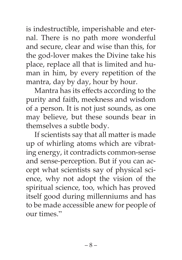is indestructible, imperishable and eternal. There is no path more wonderful and secure, clear and wise than this, for the god-lover makes the Divine take his place, replace all that is limited and human in him, by every repetition of the mantra, day by day, hour by hour.

Mantra has its effects according to the purity and faith, meekness and wisdom of a person. It is not just sounds, as one may believe, but these sounds bear in themselves a subtle body.

If scientists say that all matter is made up of whirling atoms which are vibrating energy, it contradicts common-sense and sense-perception. But if you can accept what scientists say of physical science, why not adopt the vision of the spiritual science, too, which has proved itself good during millenniums and has to be made accessible anew for people of our times."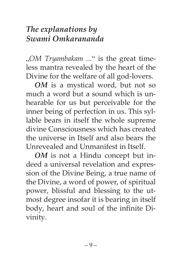## *The explanations by Swami Omkarananda*

"*OM Tryambakam ...*" is the great timeless mantra revealed by the heart of the Divine for the welfare of all god-lovers.

*OM* is a mystical word, but not so much a word but a sound which is unhearable for us but perceivable for the inner being of perfection in us. This syllable bears in itself the whole supreme divine Consciousness which has created the universe in Itself and also bears the Unrevealed and Unmanifest in Itself.

*OM* is not a Hindu concept but indeed a universal revelation and expression of the Divine Being, a true name of the Divine, a word of power, of spiritual power, blissful and blessing to the utmost degree insofar it is bearing in itself body, heart and soul of the infinite Divinity.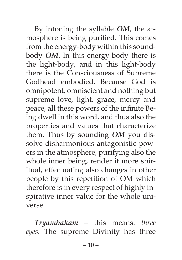By intoning the syllable *OM*, the atmosphere is being purified. This comes from the energy-body within this soundbody *OM*. In this energy-body there is the light-body, and in this light-body there is the Consciousness of Supreme Godhead embodied. Because God is omnipotent, omniscient and nothing but supreme love, light, grace, mercy and peace, all these powers of the infinite Being dwell in this word, and thus also the properties and values that characterize them. Thus by sounding *OM* you dissolve disharmonious antagonistic powers in the atmosphere, purifying also the whole inner being, render it more spiritual, effectuating also changes in other people by this repetition of OM which therefore is in every respect of highly inspirative inner value for the whole universe.

*Tryambakam* – this means: *three eyes*. The supreme Divinity has three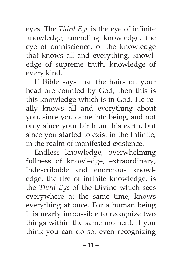eyes. The *Third Eye* is the eye of infinite knowledge, unending knowledge, the eye of omniscience, of the knowledge that knows all and everything, knowledge of supreme truth, knowledge of every kind.

If Bible says that the hairs on your head are counted by God, then this is this knowledge which is in God. He really knows all and everything about you, since you came into being, and not only since your birth on this earth, but since you started to exist in the Infinite, in the realm of manifested existence.

Endless knowledge, overwhelming fullness of knowledge, extraordinary, indescribable and enormous knowledge, the fire of infinite knowledge, is the *Third Eye* of the Divine which sees everywhere at the same time, knows everything at once. For a human being it is nearly impossible to recognize two things within the same moment. If you think you can do so, even recognizing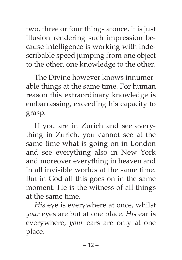two, three or four things atonce, it is just illusion rendering such impression because intelligence is working with indescribable speed jumping from one object to the other, one knowledge to the other.

The Divine however knows innumerable things at the same time. For human reason this extraordinary knowledge is embarrassing, exceeding his capacity to grasp.

If you are in Zurich and see everything in Zurich, you cannot see at the same time what is going on in London and see everything also in New York and moreover everything in heaven and in all invisible worlds at the same time. But in God all this goes on in the same moment. He is the witness of all things at the same time.

*His* eye is everywhere at once, whilst *your* eyes are but at one place. *His* ear is everywhere, *your* ears are only at one place.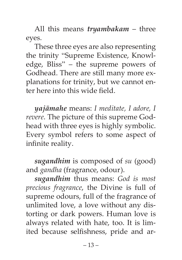All this means *tryambakam* – three eyes.

These three eyes are also representing the trinity "Supreme Existence, Knowledge, Bliss" – the supreme powers of Godhead. There are still many more explanations for trinity, but we cannot enter here into this wide field.

 $y$ *ajāmahe* means: *I meditate, I adore, I revere*. The picture of this supreme Godhead with three eyes is highly symbolic. Every symbol refers to some aspect of infinite reality.

*sugandhim* is composed of *su* (good) and *gandha* (fragrance, odour).

*sugandhim* thus means: *God is most precious fragrance*, the Divine is full of supreme odours, full of the fragrance of unlimited love, a love without any distorting or dark powers. Human love is always related with hate, too. It is limited because selfishness, pride and ar-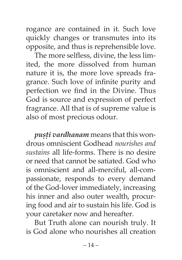rogance are contained in it. Such love quickly changes or transmutes into its opposite, and thus is reprehensible love.

The more selfless, divine, the less limited, the more dissolved from human nature it is, the more love spreads fragrance. Such love of infinite purity and perfection we find in the Divine. Thus God is source and expression of perfect fragrance. All that is of supreme value is also of most precious odour.

*pusti vardhanam* means that this wondrous omniscient Godhead *nourishes and sustains* all life-forms. There is no desire or need that cannot be satiated. God who is omniscient and all-merciful, all-compassionate, responds to every demand of the God-lover immediately, increasing his inner and also outer wealth, procuring food and air to sustain his life. God is your caretaker now and hereafter.

But Truth alone can nourish truly. It is God alone who nourishes all creation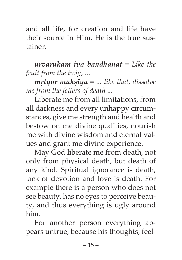and all life, for creation and life have their source in Him. He is the true sustainer.

**urvārukam iva bandhanāt** = Like the *fruit from the twig*, ...

 $mrty$ *or mukstya* = ... like that, dissolve *me from the fetters of death ...*

Liberate me from all limitations, from all darkness and every unhappy circumstances, give me strength and health and bestow on me divine qualities, nourish me with divine wisdom and eternal values and grant me divine experience.

May God liberate me from death, not only from physical death, but death of any kind. Spiritual ignorance is death, lack of devotion and love is death. For example there is a person who does not see beauty, has no eyes to perceive beauty, and thus everything is ugly around him.

For another person everything appears untrue, because his thoughts, feel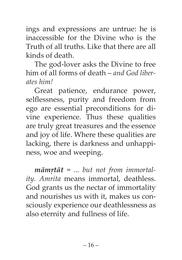ings and expressions are untrue: he is inaccessible for the Divine who is the Truth of all truths. Like that there are all kinds of death.

The god-lover asks the Divine to free him of all forms of death – *and God liberates him!*

Great patience, endurance power, selflessness, purity and freedom from ego are essential preconditions for divine experience. Thus these qualities are truly great treasures and the essence and joy of life. Where these qualities are lacking, there is darkness and unhappiness, woe and weeping.

*māmrtāt* = ... but not from immortal*ity. Amrita* means immortal, deathless. God grants us the nectar of immortality and nourishes us with it, makes us consciously experience our deathlessness as also eternity and fullness of life.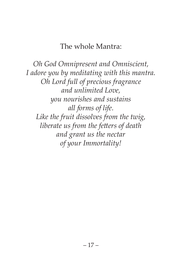#### The whole Mantra:

*Oh God Omnipresent and Omniscient, I adore you by meditating with this mantra. Oh Lord full of precious fragrance and unlimited Love, you nourishes and sustains all forms of life. Like the fruit dissolves from the twig, liberate us from the fetters of death and grant us the nectar of your Immortality!*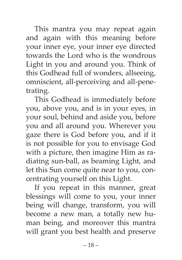This mantra you may repeat again and again with this meaning before your inner eye, your inner eye directed towards the Lord who is the wondrous Light in you and around you. Think of this Godhead full of wonders, allseeing, omniscient, all-perceiving and all-penetrating.

This Godhead is immediately before you, above you, and is in your eyes, in your soul, behind and aside you, before you and all around you. Wherever you gaze there is God before you, and if it is not possible for you to envisage God with a picture, then imagine Him as radiating sun-ball, as beaming Light, and let this Sun come quite near to you, concentrating yourself on this Light.

If you repeat in this manner, great blessings will come to you, your inner being will change, transform, you will become a new man, a totally new human being, and moreover this mantra will grant you best health and preserve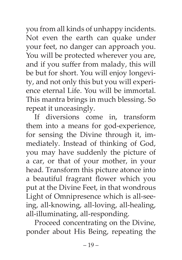you from all kinds of unhappy incidents. Not even the earth can quake under your feet, no danger can approach you. You will be protected wherever you are, and if you suffer from malady, this will be but for short. You will enjoy longevity, and not only this but you will experience eternal Life. You will be immortal. This mantra brings in much blessing. So repeat it unceasingly.

If diversions come in, transform them into a means for god-experience, for sensing the Divine through it, immediately. Instead of thinking of God, you may have suddenly the picture of a car, or that of your mother, in your head. Transform this picture atonce into a beautiful fragrant flower which you put at the Divine Feet, in that wondrous Light of Omnipresence which is all-seeing, all-knowing, all-loving, all-healing, all-illuminating, all-responding.

Proceed concentrating on the Divine, ponder about His Being, repeating the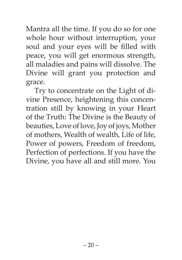Mantra all the time. If you do so for one whole hour without interruption, your soul and your eyes will be filled with peace, you will get enormous strength, all maladies and pains will dissolve. The Divine will grant you protection and grace.

Try to concentrate on the Light of divine Presence, heightening this concentration still by knowing in your Heart of the Truth: The Divine is the Beauty of beauties, Love of love, Joy of joys, Mother of mothers, Wealth of wealth, Life of life, Power of powers, Freedom of freedom, Perfection of perfections. If you have the Divine, you have all and still more. You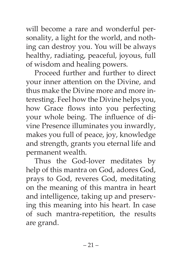will become a rare and wonderful personality, a light for the world, and nothing can destroy you. You will be always healthy, radiating, peaceful, joyous, full of wisdom and healing powers.

Proceed further and further to direct your inner attention on the Divine, and thus make the Divine more and more interesting. Feel how the Divine helps you, how Grace flows into you perfecting your whole being. The influence of divine Presence illuminates you inwardly, makes you full of peace, joy, knowledge and strength, grants you eternal life and permanent wealth.

Thus the God-lover meditates by help of this mantra on God, adores God, prays to God, reveres God, meditating on the meaning of this mantra in heart and intelligence, taking up and preserving this meaning into his heart. In case of such mantra-repetition, the results are grand.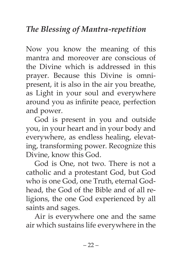Now you know the meaning of this mantra and moreover are conscious of the Divine which is addressed in this prayer. Because this Divine is omnipresent, it is also in the air you breathe, as Light in your soul and everywhere around you as infinite peace, perfection and power.

God is present in you and outside you, in your heart and in your body and everywhere, as endless healing, elevating, transforming power. Recognize this Divine, know this God.

God is One, not two. There is not a catholic and a protestant God, but God who is one God, one Truth, eternal Godhead, the God of the Bible and of all religions, the one God experienced by all saints and sages.

Air is everywhere one and the same air which sustains life everywhere in the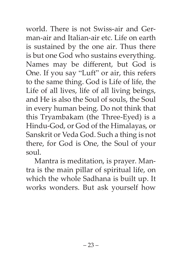world. There is not Swiss-air and German-air and Italian-air etc. Life on earth is sustained by the one air. Thus there is but one God who sustains everything. Names may be different, but God is One. If you say "Luft" or air, this refers to the same thing. God is Life of life, the Life of all lives, life of all living beings, and He is also the Soul of souls, the Soul in every human being. Do not think that this Tryambakam (the Three-Eyed) is a Hindu-God, or God of the Himalayas, or Sanskrit or Veda God. Such a thing is not there, for God is One, the Soul of your soul.

Mantra is meditation, is prayer. Mantra is the main pillar of spiritual life, on which the whole Sadhana is built up. It works wonders. But ask yourself how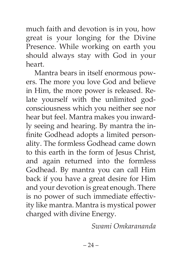much faith and devotion is in you, how great is your longing for the Divine Presence. While working on earth you should always stay with God in your heart.

Mantra bears in itself enormous powers. The more you love God and believe in Him, the more power is released. Relate yourself with the unlimited godconsciousness which you neither see nor hear but feel. Mantra makes you inwardly seeing and hearing. By mantra the infinite Godhead adopts a limited personality. The formless Godhead came down to this earth in the form of Jesus Christ, and again returned into the formless Godhead. By mantra you can call Him back if you have a great desire for Him and your devotion is great enough. There is no power of such immediate effectivity like mantra. Mantra is mystical power charged with divine Energy.

*Swami Omkarananda*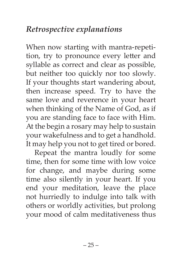## *Retrospective explanations*

When now starting with mantra-repetition, try to pronounce every letter and syllable as correct and clear as possible, but neither too quickly nor too slowly. If your thoughts start wandering about, then increase speed. Try to have the same love and reverence in your heart when thinking of the Name of God, as if you are standing face to face with Him. At the begin a rosary may help to sustain your wakefulness and to get a handhold. It may help you not to get tired or bored.

Repeat the mantra loudly for some time, then for some time with low voice for change, and maybe during some time also silently in your heart. If you end your meditation, leave the place not hurriedly to indulge into talk with others or worldly activities, but prolong your mood of calm meditativeness thus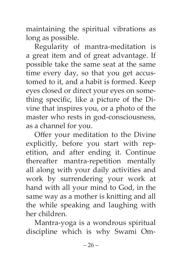maintaining the spiritual vibrations as long as possible.

Regularity of mantra-meditation is a great item and of great advantage. If possible take the same seat at the same time every day, so that you get accustomed to it, and a habit is formed. Keep eyes closed or direct your eyes on something specific, like a picture of the Divine that inspires you, or a photo of the master who rests in god-consciousness, as a channel for you.

Offer your meditation to the Divine explicitly, before you start with repetition, and after ending it. Continue thereafter mantra-repetition mentally all along with your daily activities and work by surrendering your work at hand with all your mind to God, in the same way as a mother is knitting and all the while speaking and laughing with her children.

Mantra-yoga is a wondrous spiritual discipline which is why Swami Om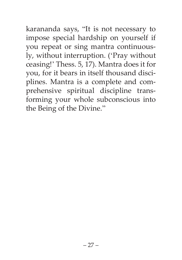karananda says, "It is not necessary to impose special hardship on yourself if you repeat or sing mantra continuously, without interruption. ('Pray without ceasing!' Thess. 5, 17). Mantra does it for you, for it bears in itself thousand disciplines. Mantra is a complete and comprehensive spiritual discipline transforming your whole subconscious into the Being of the Divine."